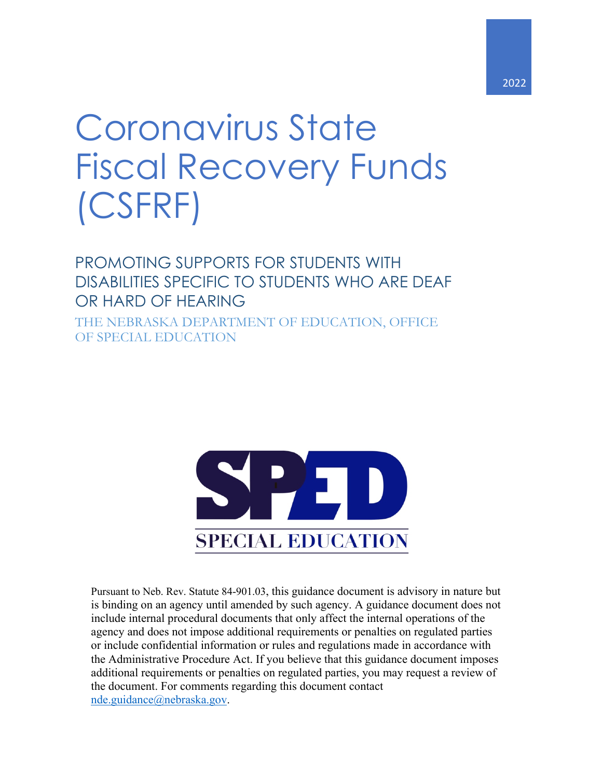# Coronavirus State Fiscal Recovery Funds (CSFRF)

# PROMOTING SUPPORTS FOR STUDENTS WITH DISABILITIES SPECIFIC TO STUDENTS WHO ARE DEAF OR HARD OF HEARING

THE NEBRASKA DEPARTMENT OF EDUCATION, OFFICE OF SPECIAL EDUCATION



Pursuant to Neb. Rev. Statute 84-901.03, this guidance document is advisory in nature but is binding on an agency until amended by such agency. A guidance document does not include internal procedural documents that only affect the internal operations of the agency and does not impose additional requirements or penalties on regulated parties or include confidential information or rules and regulations made in accordance with the Administrative Procedure Act. If you believe that this guidance document imposes additional requirements or penalties on regulated parties, you may request a review of the document. For comments regarding this document contact nde.guidance@nebraska.gov.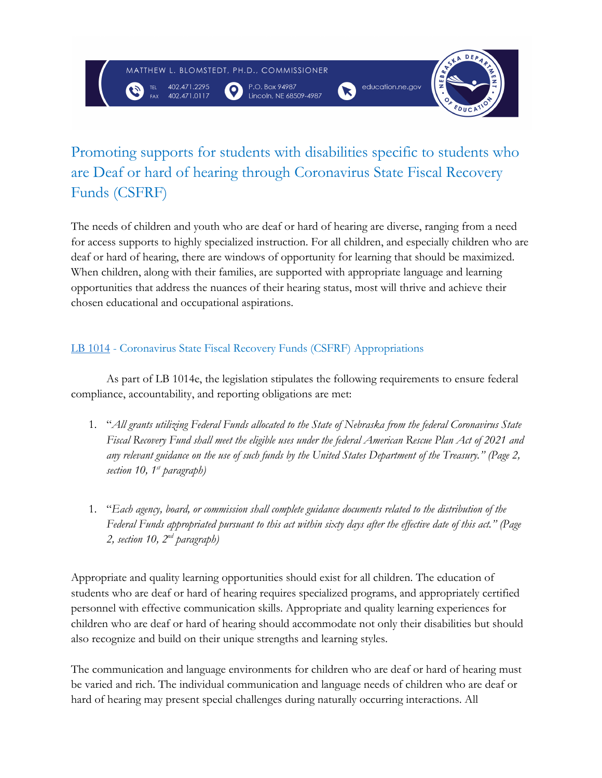MATTHEW L. BLOMSTEDT, PH.D., COMMISSIONER

 $\bullet$ 

402.471.2295

P.O. Box 94987<br>Lincoln, NE 68509-4987

 $\mathbf{X}$ 



# Promoting supports for students with disabilities specific to students who are Deaf or hard of hearing through Coronavirus State Fiscal Recovery Funds (CSFRF)

The needs of children and youth who are deaf or hard of hearing are diverse, ranging from a need for access supports to highly specialized instruction. For all children, and especially children who are deaf or hard of hearing, there are windows of opportunity for learning that should be maximized. When children, along with their families, are supported with appropriate language and learning opportunities that address the nuances of their hearing status, most will thrive and achieve their chosen educational and occupational aspirations.

# LB 1014 - Coronavirus State Fiscal Recovery Funds (CSFRF) Appropriations

As part of LB 1014e, the legislation stipulates the following requirements to ensure federal compliance, accountability, and reporting obligations are met:

- 1. "*All grants utilizing Federal Funds allocated to the State of Nebraska from the federal Coronavirus State Fiscal Recovery Fund shall meet the eligible uses under the federal American Rescue Plan Act of 2021 and any relevant guidance on the use of such funds by the United States Department of the Treasury." (Page 2, section 10, 1st paragraph)*
- 1. "*Each agency, board, or commission shall complete guidance documents related to the distribution of the Federal Funds appropriated pursuant to this act within sixty days after the effective date of this act." (Page 2, section 10, 2nd paragraph)*

Appropriate and quality learning opportunities should exist for all children. The education of students who are deaf or hard of hearing requires specialized programs, and appropriately certified personnel with effective communication skills. Appropriate and quality learning experiences for children who are deaf or hard of hearing should accommodate not only their disabilities but should also recognize and build on their unique strengths and learning styles.

The communication and language environments for children who are deaf or hard of hearing must be varied and rich. The individual communication and language needs of children who are deaf or hard of hearing may present special challenges during naturally occurring interactions. All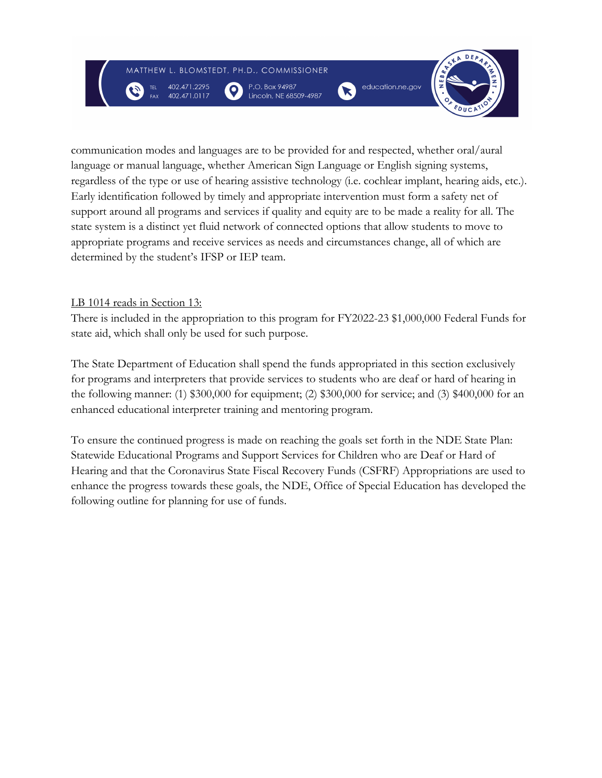$\bullet$ 

402.471.2295

P.O. Box 94987 Lincoln, NE 68509-4987





communication modes and languages are to be provided for and respected, whether oral/aural language or manual language, whether American Sign Language or English signing systems, regardless of the type or use of hearing assistive technology (i.e. cochlear implant, hearing aids, etc.). Early identification followed by timely and appropriate intervention must form a safety net of support around all programs and services if quality and equity are to be made a reality for all. The state system is a distinct yet fluid network of connected options that allow students to move to appropriate programs and receive services as needs and circumstances change, all of which are determined by the student's IFSP or IEP team.

#### LB 1014 reads in Section 13:

There is included in the appropriation to this program for FY2022-23 \$1,000,000 Federal Funds for state aid, which shall only be used for such purpose.

The State Department of Education shall spend the funds appropriated in this section exclusively for programs and interpreters that provide services to students who are deaf or hard of hearing in the following manner: (1) \$300,000 for equipment; (2) \$300,000 for service; and (3) \$400,000 for an enhanced educational interpreter training and mentoring program.

To ensure the continued progress is made on reaching the goals set forth in the NDE State Plan: Statewide Educational Programs and Support Services for Children who are Deaf or Hard of Hearing and that the Coronavirus State Fiscal Recovery Funds (CSFRF) Appropriations are used to enhance the progress towards these goals, the NDE, Office of Special Education has developed the following outline for planning for use of funds.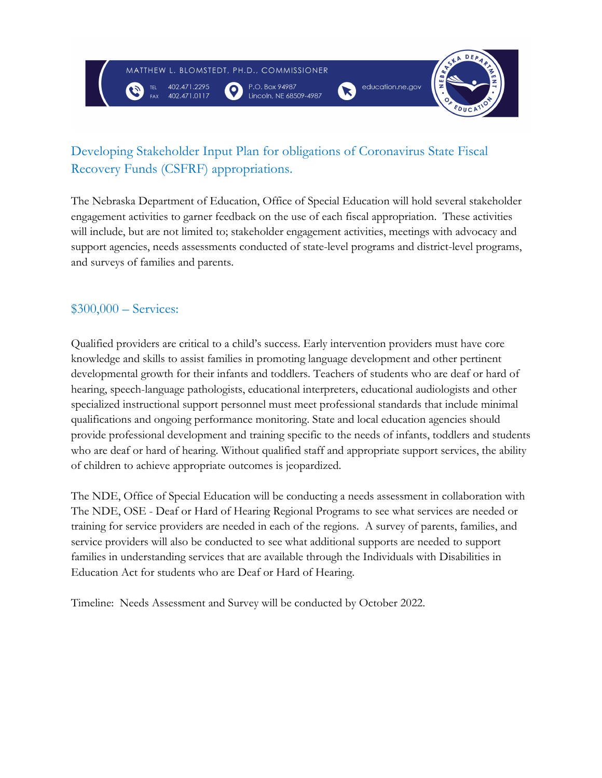MATTHEW L. BLOMSTEDT, PH.D., COMMISSIONER

 $\bullet$ 

402.471.2295

P.O. Box 94987 Lincoln, NE 68509-4987

 $\mathbf{X}$ 



# Developing Stakeholder Input Plan for obligations of Coronavirus State Fiscal Recovery Funds (CSFRF) appropriations.

The Nebraska Department of Education, Office of Special Education will hold several stakeholder engagement activities to garner feedback on the use of each fiscal appropriation. These activities will include, but are not limited to; stakeholder engagement activities, meetings with advocacy and support agencies, needs assessments conducted of state-level programs and district-level programs, and surveys of families and parents.

# \$300,000 – Services:

Qualified providers are critical to a child's success. Early intervention providers must have core knowledge and skills to assist families in promoting language development and other pertinent developmental growth for their infants and toddlers. Teachers of students who are deaf or hard of hearing, speech-language pathologists, educational interpreters, educational audiologists and other specialized instructional support personnel must meet professional standards that include minimal qualifications and ongoing performance monitoring. State and local education agencies should provide professional development and training specific to the needs of infants, toddlers and students who are deaf or hard of hearing. Without qualified staff and appropriate support services, the ability of children to achieve appropriate outcomes is jeopardized.

The NDE, Office of Special Education will be conducting a needs assessment in collaboration with The NDE, OSE - Deaf or Hard of Hearing Regional Programs to see what services are needed or training for service providers are needed in each of the regions. A survey of parents, families, and service providers will also be conducted to see what additional supports are needed to support families in understanding services that are available through the Individuals with Disabilities in Education Act for students who are Deaf or Hard of Hearing.

Timeline: Needs Assessment and Survey will be conducted by October 2022.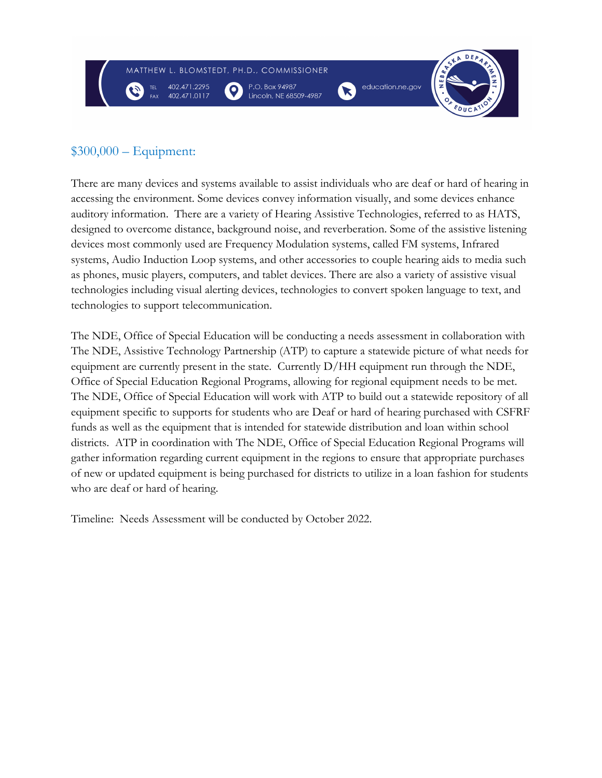

# \$300,000 – Equipment:

There are many devices and systems available to assist individuals who are deaf or hard of hearing in accessing the environment. Some devices convey information visually, and some devices enhance auditory information. There are a variety of Hearing Assistive Technologies, referred to as HATS, designed to overcome distance, background noise, and reverberation. Some of the assistive listening devices most commonly used are Frequency Modulation systems, called FM systems, Infrared systems, Audio Induction Loop systems, and other accessories to couple hearing aids to media such as phones, music players, computers, and tablet devices. There are also a variety of assistive visual technologies including visual alerting devices, technologies to convert spoken language to text, and technologies to support telecommunication.

The NDE, Office of Special Education will be conducting a needs assessment in collaboration with The NDE, Assistive Technology Partnership (ATP) to capture a statewide picture of what needs for equipment are currently present in the state. Currently D/HH equipment run through the NDE, Office of Special Education Regional Programs, allowing for regional equipment needs to be met. The NDE, Office of Special Education will work with ATP to build out a statewide repository of all equipment specific to supports for students who are Deaf or hard of hearing purchased with CSFRF funds as well as the equipment that is intended for statewide distribution and loan within school districts. ATP in coordination with The NDE, Office of Special Education Regional Programs will gather information regarding current equipment in the regions to ensure that appropriate purchases of new or updated equipment is being purchased for districts to utilize in a loan fashion for students who are deaf or hard of hearing.

Timeline: Needs Assessment will be conducted by October 2022.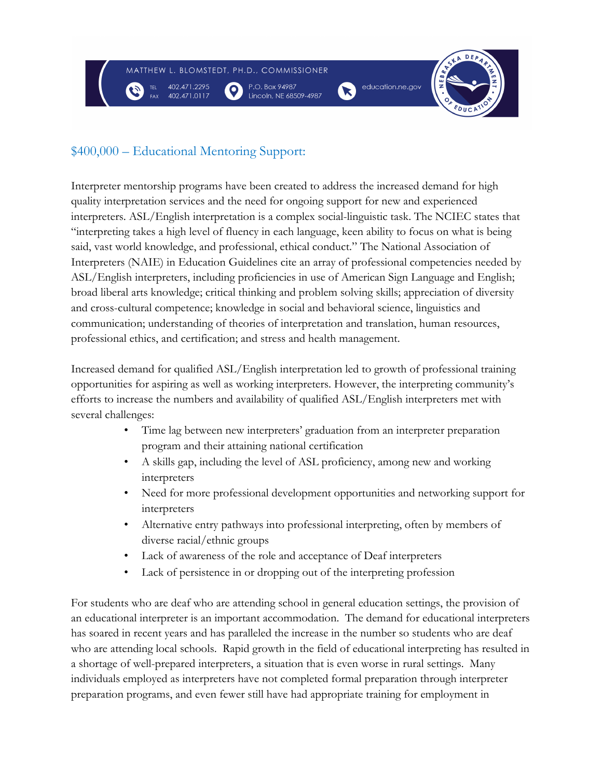

# \$400,000 – Educational Mentoring Support:

Interpreter mentorship programs have been created to address the increased demand for high quality interpretation services and the need for ongoing support for new and experienced interpreters. ASL/English interpretation is a complex social-linguistic task. The NCIEC states that "interpreting takes a high level of fluency in each language, keen ability to focus on what is being said, vast world knowledge, and professional, ethical conduct." The National Association of Interpreters (NAIE) in Education Guidelines cite an array of professional competencies needed by ASL/English interpreters, including proficiencies in use of American Sign Language and English; broad liberal arts knowledge; critical thinking and problem solving skills; appreciation of diversity and cross-cultural competence; knowledge in social and behavioral science, linguistics and communication; understanding of theories of interpretation and translation, human resources, professional ethics, and certification; and stress and health management.

Increased demand for qualified ASL/English interpretation led to growth of professional training opportunities for aspiring as well as working interpreters. However, the interpreting community's efforts to increase the numbers and availability of qualified ASL/English interpreters met with several challenges:

- Time lag between new interpreters' graduation from an interpreter preparation program and their attaining national certification
- A skills gap, including the level of ASL proficiency, among new and working interpreters
- Need for more professional development opportunities and networking support for interpreters
- Alternative entry pathways into professional interpreting, often by members of diverse racial/ethnic groups
- Lack of awareness of the role and acceptance of Deaf interpreters
- Lack of persistence in or dropping out of the interpreting profession

For students who are deaf who are attending school in general education settings, the provision of an educational interpreter is an important accommodation. The demand for educational interpreters has soared in recent years and has paralleled the increase in the number so students who are deaf who are attending local schools. Rapid growth in the field of educational interpreting has resulted in a shortage of well-prepared interpreters, a situation that is even worse in rural settings. Many individuals employed as interpreters have not completed formal preparation through interpreter preparation programs, and even fewer still have had appropriate training for employment in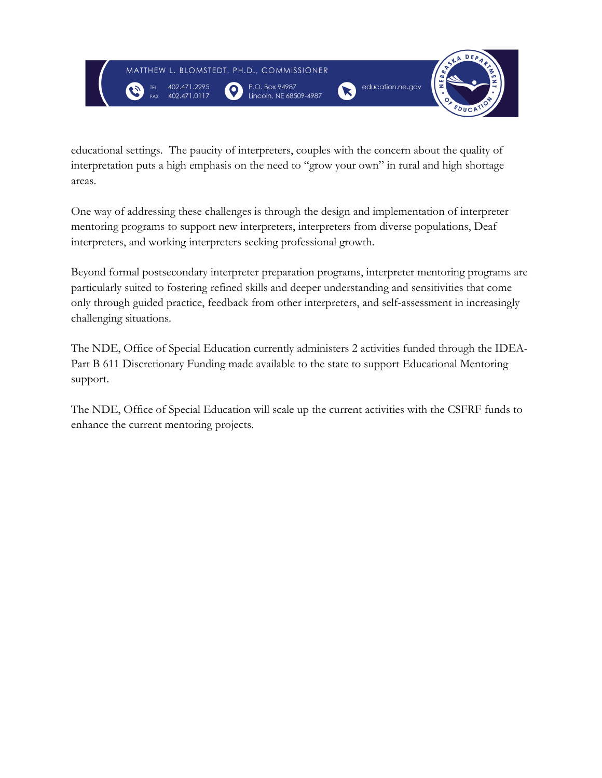

educational settings. The paucity of interpreters, couples with the concern about the quality of interpretation puts a high emphasis on the need to "grow your own" in rural and high shortage areas.

One way of addressing these challenges is through the design and implementation of interpreter mentoring programs to support new interpreters, interpreters from diverse populations, Deaf interpreters, and working interpreters seeking professional growth.

Beyond formal postsecondary interpreter preparation programs, interpreter mentoring programs are particularly suited to fostering refined skills and deeper understanding and sensitivities that come only through guided practice, feedback from other interpreters, and self-assessment in increasingly challenging situations.

The NDE, Office of Special Education currently administers 2 activities funded through the IDEA-Part B 611 Discretionary Funding made available to the state to support Educational Mentoring support.

The NDE, Office of Special Education will scale up the current activities with the CSFRF funds to enhance the current mentoring projects.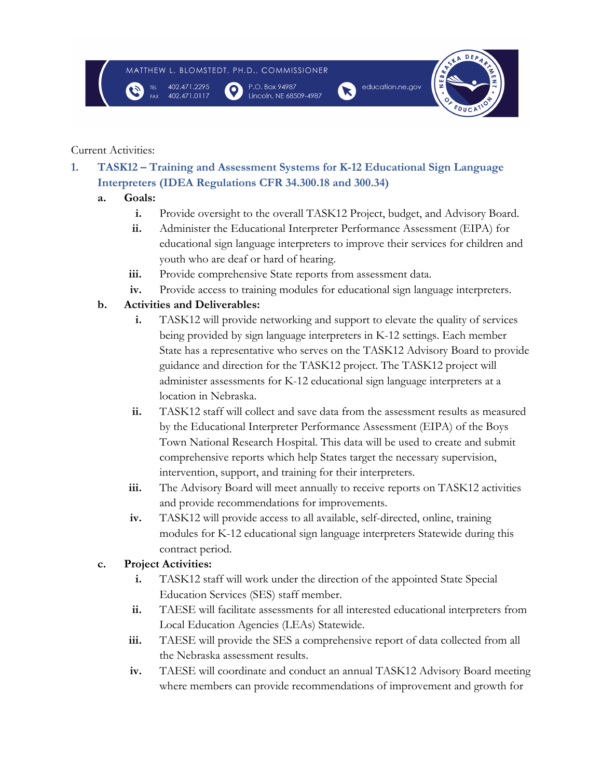

Lincoln, NE 68509-4987



#### Current Activities:

**1. TASK12 – Training and Assessment Systems for K-12 Educational Sign Language Interpreters (IDEA Regulations CFR 34.300.18 and 300.34)** 

## **a. Goals:**

- **i.** Provide oversight to the overall TASK12 Project, budget, and Advisory Board.
- **ii.** Administer the Educational Interpreter Performance Assessment (EIPA) for educational sign language interpreters to improve their services for children and youth who are deaf or hard of hearing.
- **iii.** Provide comprehensive State reports from assessment data.
- **iv.** Provide access to training modules for educational sign language interpreters.

## **b. Activities and Deliverables:**

- **i.** TASK12 will provide networking and support to elevate the quality of services being provided by sign language interpreters in K-12 settings. Each member State has a representative who serves on the TASK12 Advisory Board to provide guidance and direction for the TASK12 project. The TASK12 project will administer assessments for K-12 educational sign language interpreters at a location in Nebraska.
- **ii.** TASK12 staff will collect and save data from the assessment results as measured by the Educational Interpreter Performance Assessment (EIPA) of the Boys Town National Research Hospital. This data will be used to create and submit comprehensive reports which help States target the necessary supervision, intervention, support, and training for their interpreters.
- **iii.** The Advisory Board will meet annually to receive reports on TASK12 activities and provide recommendations for improvements.
- **iv.** TASK12 will provide access to all available, self-directed, online, training modules for K-12 educational sign language interpreters Statewide during this contract period.

## **c. Project Activities:**

- **i.** TASK12 staff will work under the direction of the appointed State Special Education Services (SES) staff member.
- **ii.** TAESE will facilitate assessments for all interested educational interpreters from Local Education Agencies (LEAs) Statewide.
- **iii.** TAESE will provide the SES a comprehensive report of data collected from all the Nebraska assessment results.
- **iv.** TAESE will coordinate and conduct an annual TASK12 Advisory Board meeting where members can provide recommendations of improvement and growth for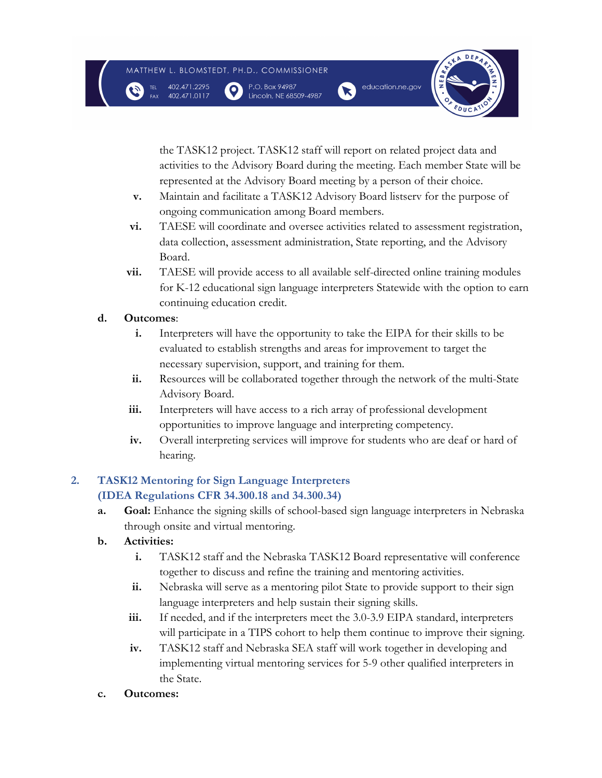$\mathbf{o}$ 

402.471.2295





the TASK12 project. TASK12 staff will report on related project data and activities to the Advisory Board during the meeting. Each member State will be represented at the Advisory Board meeting by a person of their choice.

- **v.** Maintain and facilitate a TASK12 Advisory Board listserv for the purpose of ongoing communication among Board members.
- **vi.** TAESE will coordinate and oversee activities related to assessment registration, data collection, assessment administration, State reporting, and the Advisory Board.
- **vii.** TAESE will provide access to all available self-directed online training modules for K-12 educational sign language interpreters Statewide with the option to earn continuing education credit.

## **d. Outcomes**:

- **i.** Interpreters will have the opportunity to take the EIPA for their skills to be evaluated to establish strengths and areas for improvement to target the necessary supervision, support, and training for them.
- **ii.** Resources will be collaborated together through the network of the multi-State Advisory Board.
- **iii.** Interpreters will have access to a rich array of professional development opportunities to improve language and interpreting competency.
- **iv.** Overall interpreting services will improve for students who are deaf or hard of hearing.

## **2. TASK12 Mentoring for Sign Language Interpreters (IDEA Regulations CFR 34.300.18 and 34.300.34)**

- **a. Goal:** Enhance the signing skills of school-based sign language interpreters in Nebraska through onsite and virtual mentoring.
- **b. Activities:**
	- **i.** TASK12 staff and the Nebraska TASK12 Board representative will conference together to discuss and refine the training and mentoring activities.
	- **ii.** Nebraska will serve as a mentoring pilot State to provide support to their sign language interpreters and help sustain their signing skills.
	- **iii.** If needed, and if the interpreters meet the 3.0-3.9 EIPA standard, interpreters will participate in a TIPS cohort to help them continue to improve their signing.
	- **iv.** TASK12 staff and Nebraska SEA staff will work together in developing and implementing virtual mentoring services for 5-9 other qualified interpreters in the State.
- **c. Outcomes:**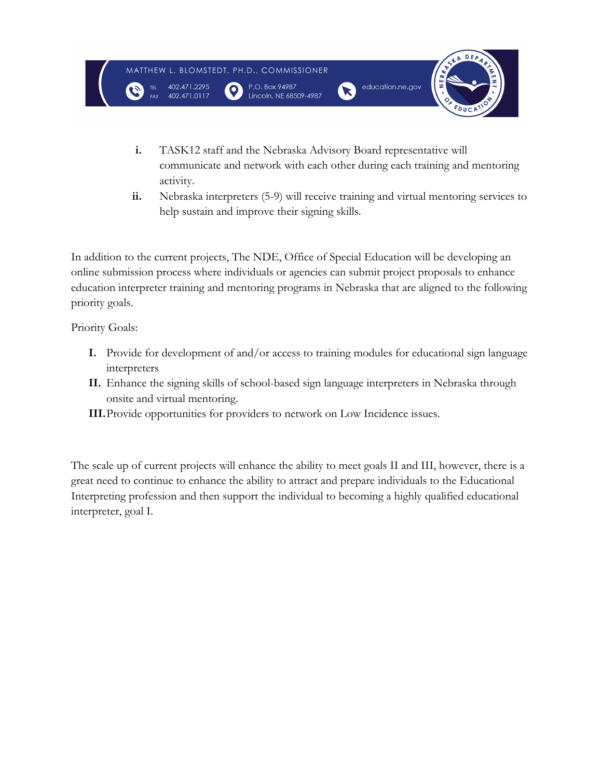

- **i.** TASK12 staff and the Nebraska Advisory Board representative will communicate and network with each other during each training and mentoring activity.
- **ii.** Nebraska interpreters (5-9) will receive training and virtual mentoring services to help sustain and improve their signing skills.

In addition to the current projects, The NDE, Office of Special Education will be developing an online submission process where individuals or agencies can submit project proposals to enhance education interpreter training and mentoring programs in Nebraska that are aligned to the following priority goals.

Priority Goals:

- **I.** Provide for development of and/or access to training modules for educational sign language interpreters
- **II.** Enhance the signing skills of school-based sign language interpreters in Nebraska through onsite and virtual mentoring.
- **III.**Provide opportunities for providers to network on Low Incidence issues.

The scale up of current projects will enhance the ability to meet goals II and III, however, there is a great need to continue to enhance the ability to attract and prepare individuals to the Educational Interpreting profession and then support the individual to becoming a highly qualified educational interpreter, goal I.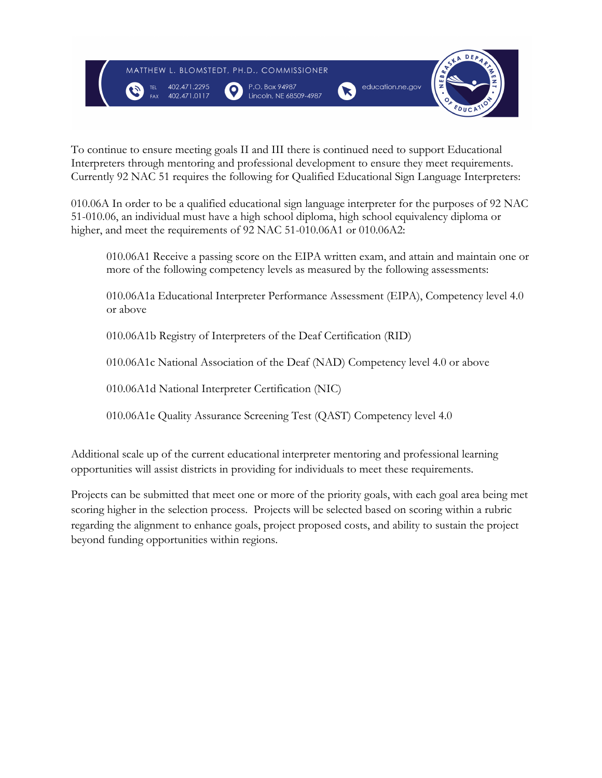

To continue to ensure meeting goals II and III there is continued need to support Educational Interpreters through mentoring and professional development to ensure they meet requirements. Currently 92 NAC 51 requires the following for Qualified Educational Sign Language Interpreters:

010.06A In order to be a qualified educational sign language interpreter for the purposes of 92 NAC 51-010.06, an individual must have a high school diploma, high school equivalency diploma or higher, and meet the requirements of 92 NAC 51-010.06A1 or 010.06A2:

010.06A1 Receive a passing score on the EIPA written exam, and attain and maintain one or more of the following competency levels as measured by the following assessments:

010.06A1a Educational Interpreter Performance Assessment (EIPA), Competency level 4.0 or above

010.06A1b Registry of Interpreters of the Deaf Certification (RID)

010.06A1c National Association of the Deaf (NAD) Competency level 4.0 or above

010.06A1d National Interpreter Certification (NIC)

010.06A1e Quality Assurance Screening Test (QAST) Competency level 4.0

Additional scale up of the current educational interpreter mentoring and professional learning opportunities will assist districts in providing for individuals to meet these requirements.

Projects can be submitted that meet one or more of the priority goals, with each goal area being met scoring higher in the selection process. Projects will be selected based on scoring within a rubric regarding the alignment to enhance goals, project proposed costs, and ability to sustain the project beyond funding opportunities within regions.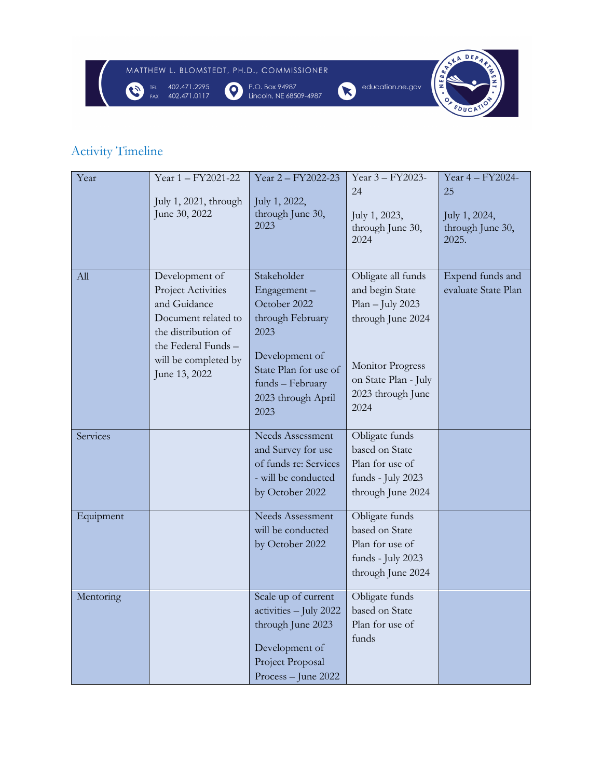

# Activity Timeline

| Year      | Year 1 - FY2021-22<br>July 1, 2021, through<br>June 30, 2022                                                                                                       | Year 2 - FY2022-23<br>July 1, 2022,<br>through June 30,<br>2023                                                                                                     | Year 3 - FY2023-<br>24<br>July 1, 2023,<br>through June 30,<br>2024                                                                                              | Year 4 - FY2024-<br>25<br>July 1, 2024,<br>through June 30,<br>2025. |
|-----------|--------------------------------------------------------------------------------------------------------------------------------------------------------------------|---------------------------------------------------------------------------------------------------------------------------------------------------------------------|------------------------------------------------------------------------------------------------------------------------------------------------------------------|----------------------------------------------------------------------|
| All       | Development of<br>Project Activities<br>and Guidance<br>Document related to<br>the distribution of<br>the Federal Funds -<br>will be completed by<br>June 13, 2022 | Stakeholder<br>Engagement-<br>October 2022<br>through February<br>2023<br>Development of<br>State Plan for use of<br>funds - February<br>2023 through April<br>2023 | Obligate all funds<br>and begin State<br>$Plan$ – July 2023<br>through June 2024<br><b>Monitor Progress</b><br>on State Plan - July<br>2023 through June<br>2024 | Expend funds and<br>evaluate State Plan                              |
| Services  |                                                                                                                                                                    | <b>Needs Assessment</b><br>and Survey for use<br>of funds re: Services<br>- will be conducted<br>by October 2022                                                    | Obligate funds<br>based on State<br>Plan for use of<br>funds - July 2023<br>through June 2024                                                                    |                                                                      |
| Equipment |                                                                                                                                                                    | <b>Needs Assessment</b><br>will be conducted<br>by October 2022                                                                                                     | Obligate funds<br>based on State<br>Plan for use of<br>funds - July 2023<br>through June 2024                                                                    |                                                                      |
| Mentoring |                                                                                                                                                                    | Scale up of current<br>activities - July 2022<br>through June 2023<br>Development of<br>Project Proposal<br>Process - June 2022                                     | Obligate funds<br>based on State<br>Plan for use of<br>funds                                                                                                     |                                                                      |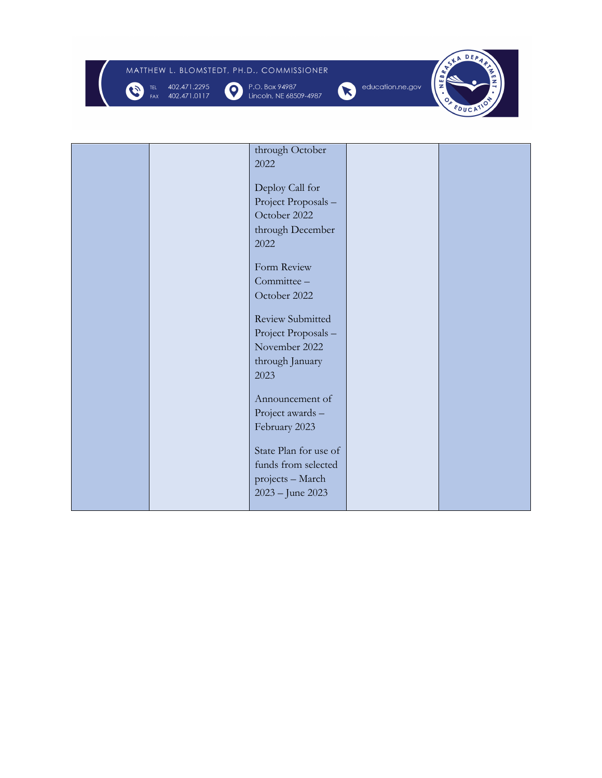# MATTHEW L. BLOMSTEDT, PH.D., COMMISSIONER



P.O. Box 94987<br>Lincoln, NE 68509-4987





|  | through October         |  |
|--|-------------------------|--|
|  | 2022                    |  |
|  |                         |  |
|  | Deploy Call for         |  |
|  | Project Proposals-      |  |
|  | October 2022            |  |
|  | through December        |  |
|  |                         |  |
|  | 2022                    |  |
|  | Form Review             |  |
|  | Committee -             |  |
|  |                         |  |
|  | October 2022            |  |
|  | <b>Review Submitted</b> |  |
|  | Project Proposals-      |  |
|  | November 2022           |  |
|  |                         |  |
|  | through January         |  |
|  | 2023                    |  |
|  |                         |  |
|  | Announcement of         |  |
|  | Project awards -        |  |
|  | February 2023           |  |
|  |                         |  |
|  | State Plan for use of   |  |
|  | funds from selected     |  |
|  | projects - March        |  |
|  | 2023 – June 2023        |  |
|  |                         |  |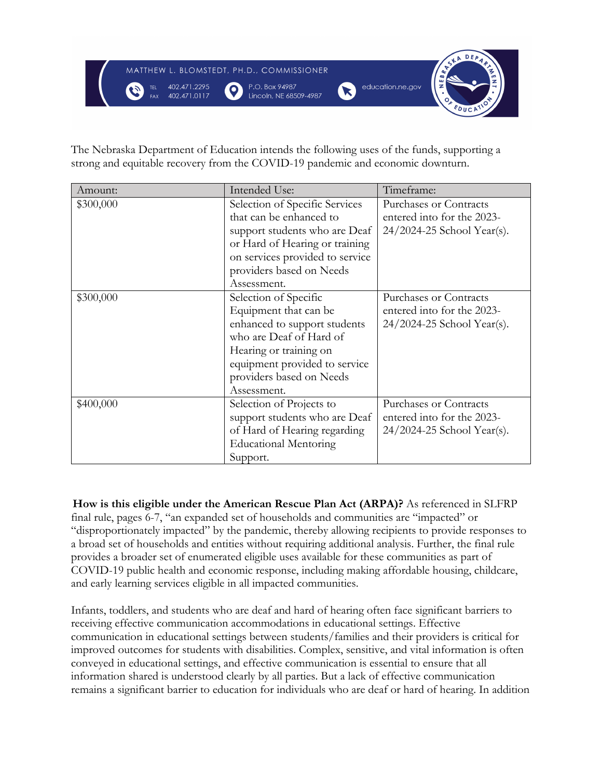

The Nebraska Department of Education intends the following uses of the funds, supporting a strong and equitable recovery from the COVID-19 pandemic and economic downturn.

| Amount:   | Intended Use:                   | Timeframe:                 |
|-----------|---------------------------------|----------------------------|
| \$300,000 | Selection of Specific Services  | Purchases or Contracts     |
|           | that can be enhanced to         | entered into for the 2023- |
|           | support students who are Deaf   | 24/2024-25 School Year(s). |
|           | or Hard of Hearing or training  |                            |
|           | on services provided to service |                            |
|           | providers based on Needs        |                            |
|           | Assessment.                     |                            |
| \$300,000 | Selection of Specific           | Purchases or Contracts     |
|           | Equipment that can be           | entered into for the 2023- |
|           | enhanced to support students    | 24/2024-25 School Year(s). |
|           | who are Deaf of Hard of         |                            |
|           | Hearing or training on          |                            |
|           | equipment provided to service   |                            |
|           | providers based on Needs        |                            |
|           | Assessment.                     |                            |
| \$400,000 | Selection of Projects to        | Purchases or Contracts     |
|           | support students who are Deaf   | entered into for the 2023- |
|           | of Hard of Hearing regarding    | 24/2024-25 School Year(s). |
|           | <b>Educational Mentoring</b>    |                            |
|           | Support.                        |                            |

**How is this eligible under the American Rescue Plan Act (ARPA)?** As referenced in SLFRP final rule, pages 6-7, "an expanded set of households and communities are "impacted" or "disproportionately impacted" by the pandemic, thereby allowing recipients to provide responses to a broad set of households and entities without requiring additional analysis. Further, the final rule provides a broader set of enumerated eligible uses available for these communities as part of COVID-19 public health and economic response, including making affordable housing, childcare, and early learning services eligible in all impacted communities.

Infants, toddlers, and students who are deaf and hard of hearing often face significant barriers to receiving effective communication accommodations in educational settings. Effective communication in educational settings between students/families and their providers is critical for improved outcomes for students with disabilities. Complex, sensitive, and vital information is often conveyed in educational settings, and effective communication is essential to ensure that all information shared is understood clearly by all parties. But a lack of effective communication remains a significant barrier to education for individuals who are deaf or hard of hearing. In addition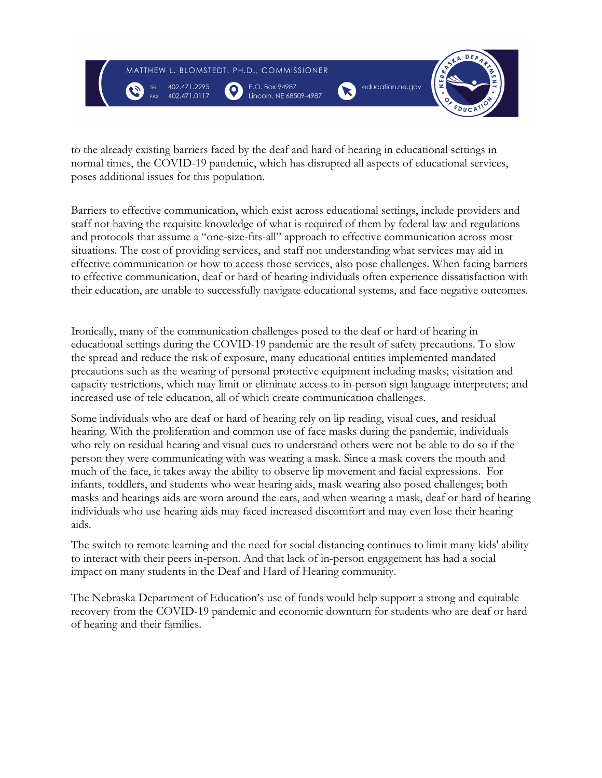

to the already existing barriers faced by the deaf and hard of hearing in educational settings in normal times, the COVID-19 pandemic, which has disrupted all aspects of educational services, poses additional issues for this population.

Barriers to effective communication, which exist across educational settings, include providers and staff not having the requisite knowledge of what is required of them by federal law and regulations and protocols that assume a "one-size-fits-all" approach to effective communication across most situations. The cost of providing services, and staff not understanding what services may aid in effective communication or how to access those services, also pose challenges. When facing barriers to effective communication, deaf or hard of hearing individuals often experience dissatisfaction with their education, are unable to successfully navigate educational systems, and face negative outcomes.

Ironically, many of the communication challenges posed to the deaf or hard of hearing in educational settings during the COVID-19 pandemic are the result of safety precautions. To slow the spread and reduce the risk of exposure, many educational entities implemented mandated precautions such as the wearing of personal protective equipment including masks; visitation and capacity restrictions, which may limit or eliminate access to in-person sign language interpreters; and increased use of tele education, all of which create communication challenges.

Some individuals who are deaf or hard of hearing rely on lip reading, visual cues, and residual hearing. With the proliferation and common use of face masks during the pandemic, individuals who rely on residual hearing and visual cues to understand others were not be able to do so if the person they were communicating with was wearing a mask. Since a mask covers the mouth and much of the face, it takes away the ability to observe lip movement and facial expressions. For infants, toddlers, and students who wear hearing aids, mask wearing also posed challenges; both masks and hearings aids are worn around the ears, and when wearing a mask, deaf or hard of hearing individuals who use hearing aids may faced increased discomfort and may even lose their hearing aids.

The switch to remote learning and the need for social distancing continues to limit many kids' ability to interact with their peers in-person. And that lack of in-person engagement has had a social impact on many students in the Deaf and Hard of Hearing community.

The Nebraska Department of Education's use of funds would help support a strong and equitable recovery from the COVID-19 pandemic and economic downturn for students who are deaf or hard of hearing and their families.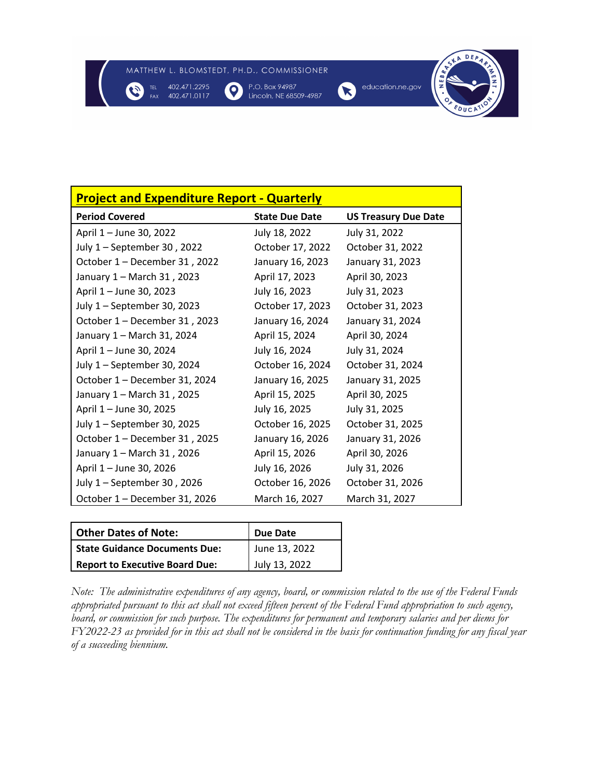$\bullet$ 



P.O. Box 94987 Lincoln, NE 68509-4987





**Project and Expenditure Report - Quarterly Period Covered State Due Date US Treasury Due Date** April 1 – June 30, 2022 July 18, 2022 July 31, 2022 July 1 – September 30 , 2022 October 17, 2022 October 31, 2022 October 1 – December 31 , 2022 January 16, 2023 January 31, 2023 January 1 – March 31 , 2023 April 17, 2023 April 30, 2023 April 1 – June 30, 2023 July 16, 2023 July 31, 2023 July 1 – September 30, 2023 October 17, 2023 October 31, 2023 October 1 – December 31 , 2023 January 16, 2024 January 31, 2024 January 1 – March 31, 2024 April 15, 2024 April 30, 2024 April 1 – June 30, 2024 July 16, 2024 July 31, 2024 July 1 – September 30, 2024 October 16, 2024 October 31, 2024 October 1 – December 31, 2024 January 16, 2025 January 31, 2025 January 1 – March 31 , 2025 April 15, 2025 April 30, 2025 April 1 – June 30, 2025 **July 16, 2025** July 31, 2025 July 1 – September 30, 2025 October 16, 2025 October 31, 2025 October 1 – December 31 , 2025 January 16, 2026 January 31, 2026 January 1 – March 31 , 2026 April 15, 2026 April 30, 2026 April 1 – June 30, 2026 July 16, 2026 July 31, 2026 July 1 – September 30 , 2026 October 16, 2026 October 31, 2026 October 1 – December 31, 2026 March 16, 2027 March 31, 2027

| <b>Other Dates of Note:</b>           | <b>Due Date</b> |  |
|---------------------------------------|-----------------|--|
| <b>State Guidance Documents Due:</b>  | June 13, 2022   |  |
| <b>Report to Executive Board Due:</b> | July 13, 2022   |  |

*Note: The administrative expenditures of any agency, board, or commission related to the use of the Federal Funds appropriated pursuant to this act shall not exceed fifteen percent of the Federal Fund appropriation to such agency, board, or commission for such purpose. The expenditures for permanent and temporary salaries and per diems for FY2022-23 as provided for in this act shall not be considered in the basis for continuation funding for any fiscal year of a succeeding biennium.*